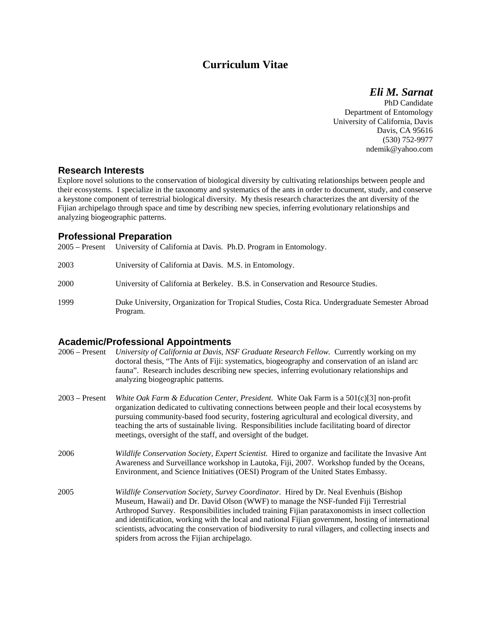# **Curriculum Vitae**

*Eli M. Sarnat* 

PhD Candidate Department of Entomology University of California, Davis Davis, CA 95616 (530) 752-9977 ndemik@yahoo.com

### **Research Interests**

Explore novel solutions to the conservation of biological diversity by cultivating relationships between people and their ecosystems. I specialize in the taxonomy and systematics of the ants in order to document, study, and conserve a keystone component of terrestrial biological diversity. My thesis research characterizes the ant diversity of the Fijian archipelago through space and time by describing new species, inferring evolutionary relationships and analyzing biogeographic patterns.

## **Professional Preparation**

2005 – Present University of California at Davis. Ph.D. Program in Entomology.

| 2003 | University of California at Davis. M.S. in Entomology.                                                    |
|------|-----------------------------------------------------------------------------------------------------------|
| 2000 | University of California at Berkeley. B.S. in Conservation and Resource Studies.                          |
| 1999 | Duke University, Organization for Tropical Studies, Costa Rica. Undergraduate Semester Abroad<br>Program. |

### **Academic/Professional Appointments**

| 2006 – Present | University of California at Davis, NSF Graduate Research Fellow. Currently working on my        |
|----------------|-------------------------------------------------------------------------------------------------|
|                | doctoral thesis, "The Ants of Fiji: systematics, biogeography and conservation of an island arc |
|                | fauna". Research includes describing new species, inferring evolutionary relationships and      |
|                | analyzing biogeographic patterns.                                                               |
|                |                                                                                                 |

- 2003 Present *White Oak Farm & Education Center, President*. White Oak Farm is a 501(c)[3] non-profit organization dedicated to cultivating connections between people and their local ecosystems by pursuing community-based food security, fostering agricultural and ecological diversity, and teaching the arts of sustainable living. Responsibilities include facilitating board of director meetings, oversight of the staff, and oversight of the budget.
- 2006 *Wildlife Conservation Society, Expert Scientist*. Hired to organize and facilitate the Invasive Ant Awareness and Surveillance workshop in Lautoka, Fiji, 2007. Workshop funded by the Oceans, Environment, and Science Initiatives (OESI) Program of the United States Embassy.
- 2005 *Wildlife Conservation Society, Survey Coordinator*. Hired by Dr. Neal Evenhuis (Bishop Museum, Hawaii) and Dr. David Olson (WWF) to manage the NSF-funded Fiji Terrestrial Arthropod Survey. Responsibilities included training Fijian parataxonomists in insect collection and identification, working with the local and national Fijian government, hosting of international scientists, advocating the conservation of biodiversity to rural villagers, and collecting insects and spiders from across the Fijian archipelago.